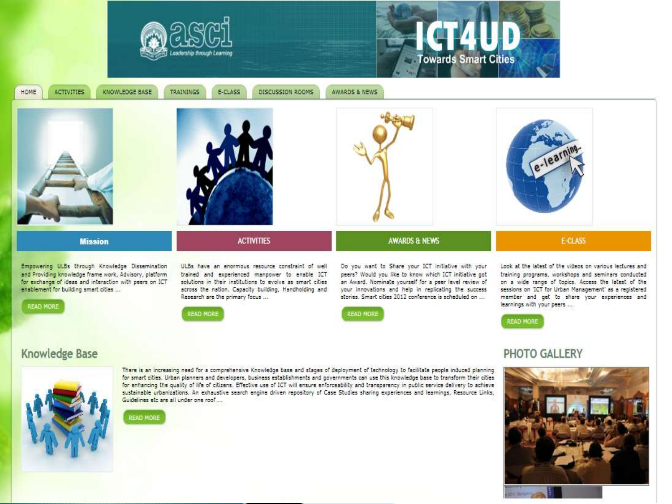







for smart cities. Urban planners and developers, business establishments and governments can use this knowledge base to transform their cities for enhancing the quality of life of citizens. Effective use of ICT will ensure enforceability and transparency in public service delivery to achieve sustainable urbanizations. An exhaustive search engine driven repository of Case Studies sharing experiences and learnings, Resource Links, Guidelines etc are all under one roof....



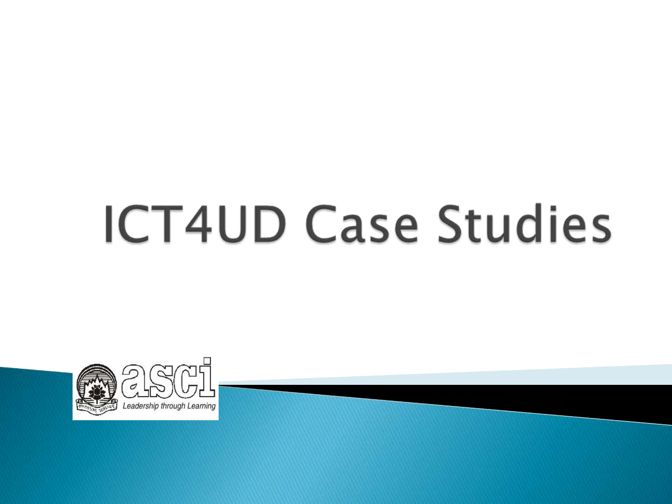# **ICT4UD Case Studies**

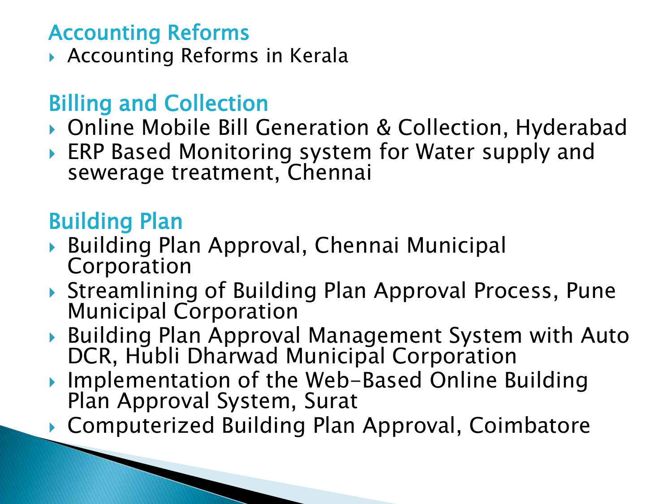#### Accounting Reforms

Accounting Reforms in Kerala

### Billing and Collection

- ▶ Online Mobile Bill Generation & Collection, Hyderabad
- ▶ ERP Based Monitoring system for Water supply and sewerage treatment, Chennai

# Building Plan

- ▶ Building Plan Approval, Chennai Municipal Corporation
- ▶ Streamlining of Building Plan Approval Process, Pune Municipal Corporation
- Building Plan Approval Management System with Auto DCR, Hubli Dharwad Municipal Corporation
- ▶ Implementation of the Web-Based Online Building Plan Approval System, Surat
- ▶ Computerized Building Plan Approval, Coimbatore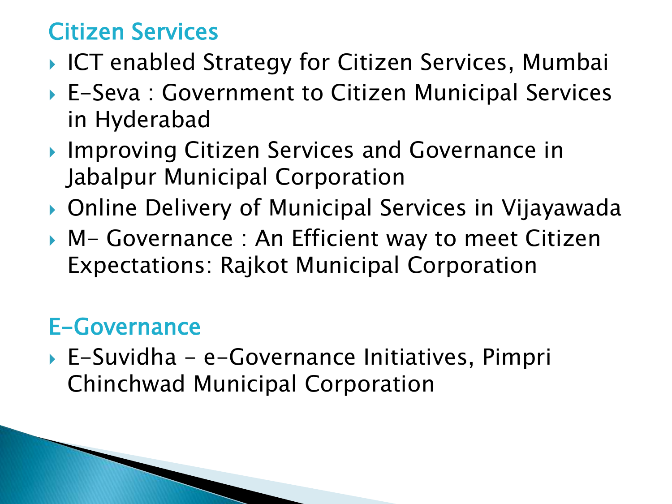## Citizen Services

- ▶ ICT enabled Strategy for Citizen Services, Mumbai
- ▶ E-Seva : Government to Citizen Municipal Services in Hyderabad
- ▶ Improving Citizen Services and Governance in Jabalpur Municipal Corporation
- ▶ Online Delivery of Municipal Services in Vijayawada
- ▶ M- Governance : An Efficient way to meet Citizen Expectations: Rajkot Municipal Corporation

# E-Governance

▶ E-Suvidha – e-Governance Initiatives, Pimpri Chinchwad Municipal Corporation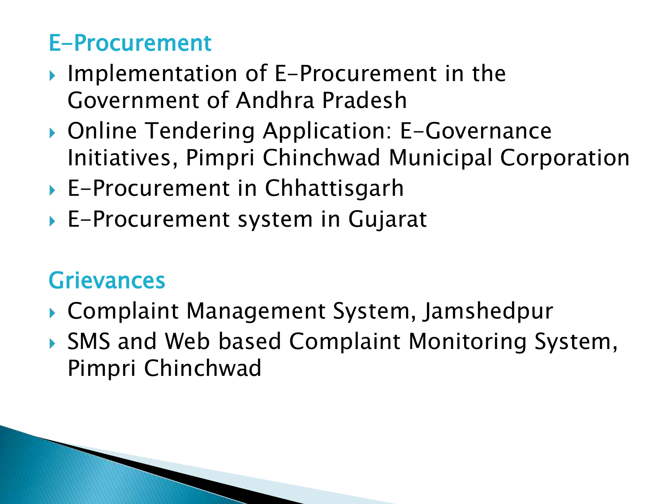# E-Procurement

- ▶ Implementation of E-Procurement in the Government of Andhra Pradesh
- ▶ Online Tendering Application: E-Governance Initiatives, Pimpri Chinchwad Municipal Corporation
- ▶ E-Procurement in Chhattisgarh
- ▶ E-Procurement system in Gujarat

# **Grievances**

- Complaint Management System, Jamshedpur
- ▶ SMS and Web based Complaint Monitoring System, Pimpri Chinchwad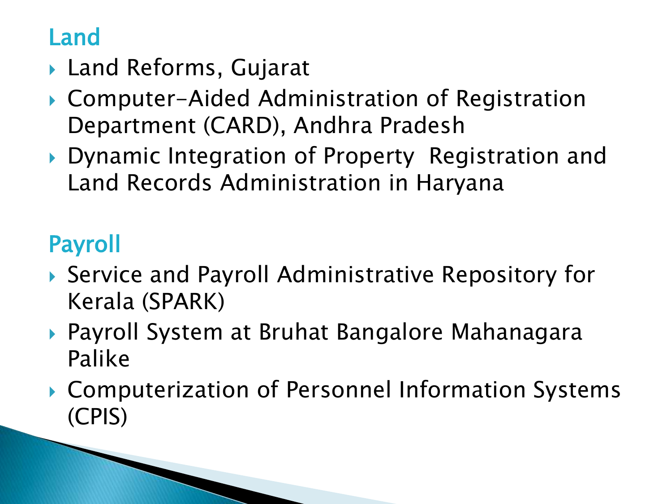# Land

- Land Reforms, Gujarat
- ▶ Computer-Aided Administration of Registration Department (CARD), Andhra Pradesh
- ▶ Dynamic Integration of Property Registration and Land Records Administration in Haryana

# Payroll

- ▶ Service and Payroll Administrative Repository for Kerala (SPARK)
- ▶ Payroll System at Bruhat Bangalore Mahanagara Palike
- Computerization of Personnel Information Systems (CPIS)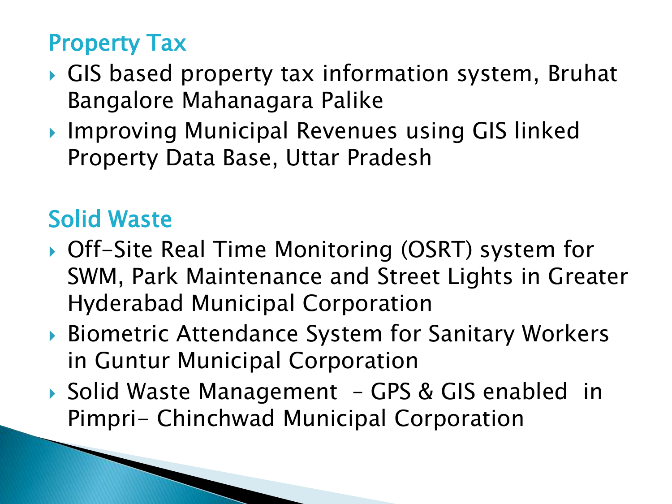# Property Tax

- GIS based property tax information system, Bruhat Bangalore Mahanagara Palike
- **Improving Municipal Revenues using GIS linked** Property Data Base, Uttar Pradesh

# Solid Waste

- ▶ Off-Site Real Time Monitoring (OSRT) system for SWM, Park Maintenance and Street Lights in Greater Hyderabad Municipal Corporation
- ▶ Biometric Attendance System for Sanitary Workers in Guntur Municipal Corporation
- ▶ Solid Waste Management GPS & GIS enabled in Pimpri- Chinchwad Municipal Corporation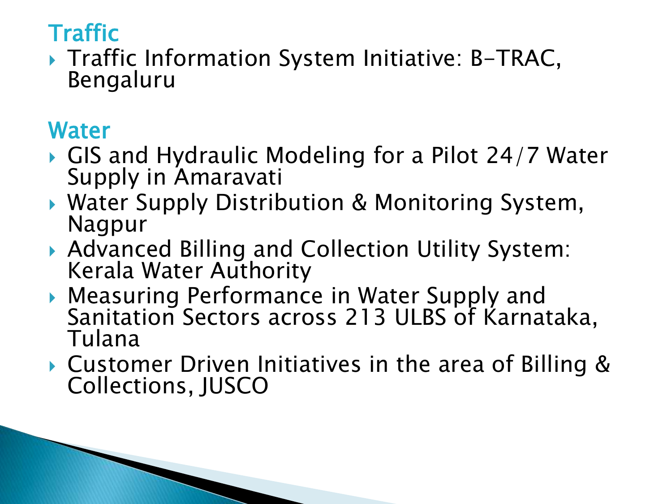# **Traffic**

▶ Traffic Information System Initiative: B-TRAC, Bengaluru

#### Water

- GIS and Hydraulic Modeling for a Pilot 24/7 Water Supply in Amaravati
- Water Supply Distribution & Monitoring System, Nagpur
- ▶ Advanced Billing and Collection Utility System: Kerala Water Authority
- ▶ Measuring Performance in Water Supply and Sanitation Sectors across 213 ULBS of Karnataka, Tulana
- Customer Driven Initiatives in the area of Billing & Collections, JUSCO